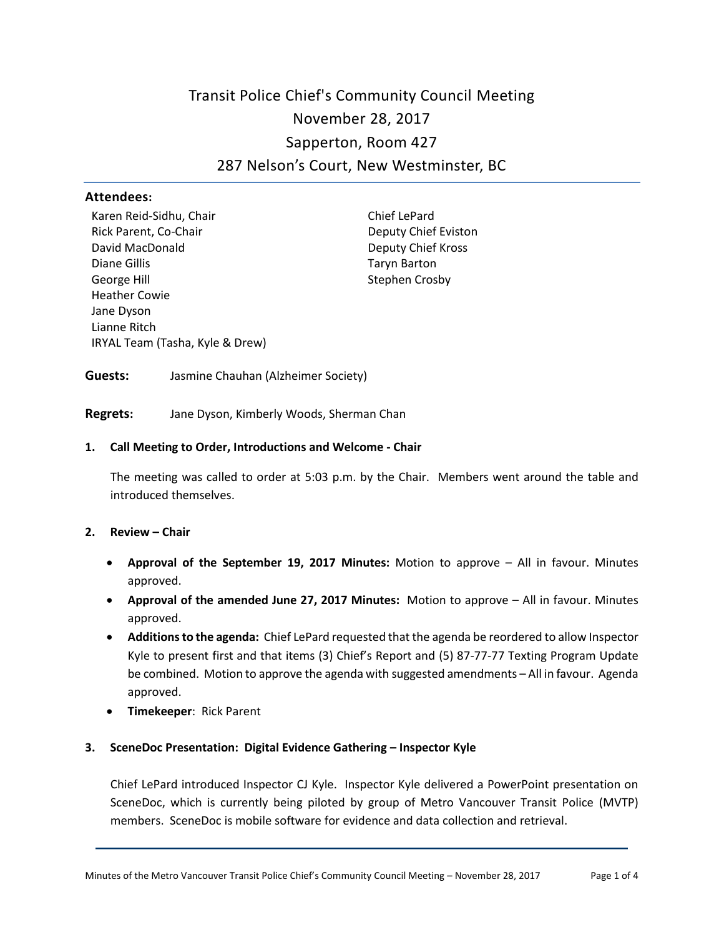# Transit Police Chief's Community Council Meeting November 28, 2017 Sapperton, Room 427 287 Nelson's Court, New Westminster, BC

## **Attendees:**

Karen Reid-Sidhu, Chair Rick Parent, Co-Chair David MacDonald Diane Gillis George Hill Heather Cowie Jane Dyson Lianne Ritch IRYAL Team (Tasha, Kyle & Drew)

Chief LePard Deputy Chief Eviston Deputy Chief Kross Taryn Barton Stephen Crosby

**Guests:** Jasmine Chauhan (Alzheimer Society)

**Regrets:** Jane Dyson, Kimberly Woods, Sherman Chan

## **1. Call Meeting to Order, Introductions and Welcome - Chair**

The meeting was called to order at 5:03 p.m. by the Chair. Members went around the table and introduced themselves.

#### **2. Review – Chair**

- **Approval of the September 19, 2017 Minutes:** Motion to approve All in favour. Minutes approved.
- **Approval of the amended June 27, 2017 Minutes:** Motion to approve All in favour. Minutes approved.
- **Additions to the agenda:** Chief LePard requested that the agenda be reordered to allow Inspector Kyle to present first and that items (3) Chief's Report and (5) 87-77-77 Texting Program Update be combined. Motion to approve the agenda with suggested amendments – All in favour. Agenda approved.
- **Timekeeper**: Rick Parent

## **3. SceneDoc Presentation: Digital Evidence Gathering – Inspector Kyle**

Chief LePard introduced Inspector CJ Kyle. Inspector Kyle delivered a PowerPoint presentation on SceneDoc, which is currently being piloted by group of Metro Vancouver Transit Police (MVTP) members. SceneDoc is mobile software for evidence and data collection and retrieval.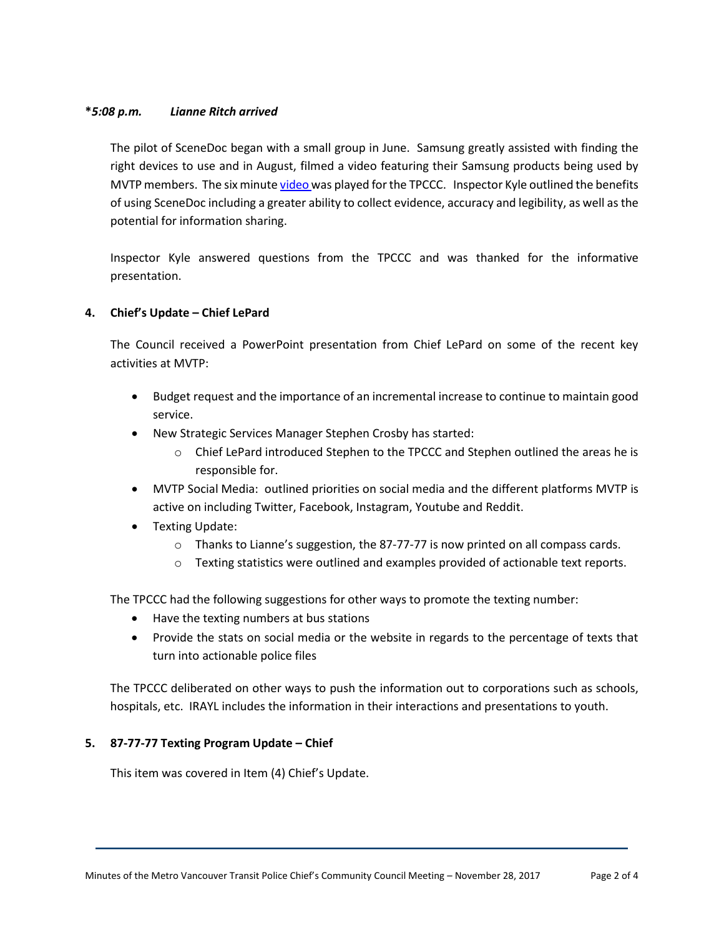# **\****5:08 p.m. Lianne Ritch arrived*

The pilot of SceneDoc began with a small group in June. Samsung greatly assisted with finding the right devices to use and in August, filmed a video featuring their Samsung products being used by MVTP members. The six minute [video w](https://www.youtube.com/watch?v=hSb2Vr3UbUY)as played for the TPCCC. Inspector Kyle outlined the benefits of using SceneDoc including a greater ability to collect evidence, accuracy and legibility, as well as the potential for information sharing.

Inspector Kyle answered questions from the TPCCC and was thanked for the informative presentation.

# **4. Chief's Update – Chief LePard**

The Council received a PowerPoint presentation from Chief LePard on some of the recent key activities at MVTP:

- Budget request and the importance of an incremental increase to continue to maintain good service.
- New Strategic Services Manager Stephen Crosby has started:
	- $\circ$  Chief LePard introduced Stephen to the TPCCC and Stephen outlined the areas he is responsible for.
- MVTP Social Media: outlined priorities on social media and the different platforms MVTP is active on including Twitter, Facebook, Instagram, Youtube and Reddit.
- Texting Update:
	- o Thanks to Lianne's suggestion, the 87-77-77 is now printed on all compass cards.
	- $\circ$  Texting statistics were outlined and examples provided of actionable text reports.

The TPCCC had the following suggestions for other ways to promote the texting number:

- Have the texting numbers at bus stations
- Provide the stats on social media or the website in regards to the percentage of texts that turn into actionable police files

The TPCCC deliberated on other ways to push the information out to corporations such as schools, hospitals, etc. IRAYL includes the information in their interactions and presentations to youth.

## **5. 87-77-77 Texting Program Update – Chief**

This item was covered in Item (4) Chief's Update.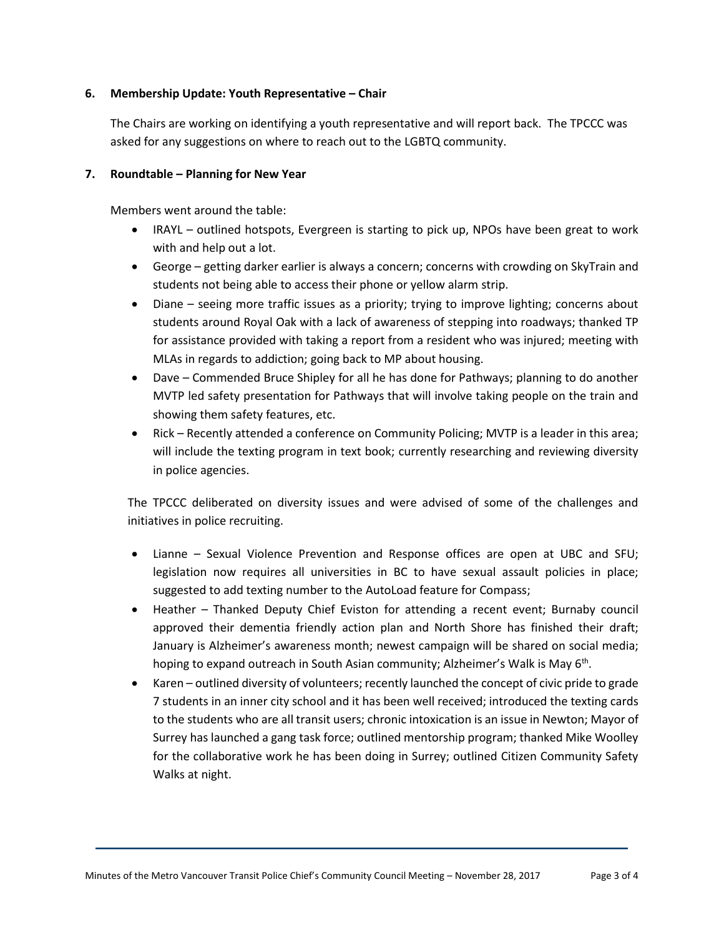## **6. Membership Update: Youth Representative – Chair**

The Chairs are working on identifying a youth representative and will report back. The TPCCC was asked for any suggestions on where to reach out to the LGBTQ community.

## **7. Roundtable – Planning for New Year**

Members went around the table:

- IRAYL outlined hotspots, Evergreen is starting to pick up, NPOs have been great to work with and help out a lot.
- George getting darker earlier is always a concern; concerns with crowding on SkyTrain and students not being able to access their phone or yellow alarm strip.
- Diane seeing more traffic issues as a priority; trying to improve lighting; concerns about students around Royal Oak with a lack of awareness of stepping into roadways; thanked TP for assistance provided with taking a report from a resident who was injured; meeting with MLAs in regards to addiction; going back to MP about housing.
- Dave Commended Bruce Shipley for all he has done for Pathways; planning to do another MVTP led safety presentation for Pathways that will involve taking people on the train and showing them safety features, etc.
- Rick Recently attended a conference on Community Policing; MVTP is a leader in this area; will include the texting program in text book; currently researching and reviewing diversity in police agencies.

The TPCCC deliberated on diversity issues and were advised of some of the challenges and initiatives in police recruiting.

- Lianne Sexual Violence Prevention and Response offices are open at UBC and SFU; legislation now requires all universities in BC to have sexual assault policies in place; suggested to add texting number to the AutoLoad feature for Compass;
- Heather Thanked Deputy Chief Eviston for attending a recent event; Burnaby council approved their dementia friendly action plan and North Shore has finished their draft; January is Alzheimer's awareness month; newest campaign will be shared on social media; hoping to expand outreach in South Asian community; Alzheimer's Walk is May 6<sup>th</sup>.
- Karen outlined diversity of volunteers; recently launched the concept of civic pride to grade 7 students in an inner city school and it has been well received; introduced the texting cards to the students who are all transit users; chronic intoxication is an issue in Newton; Mayor of Surrey has launched a gang task force; outlined mentorship program; thanked Mike Woolley for the collaborative work he has been doing in Surrey; outlined Citizen Community Safety Walks at night.